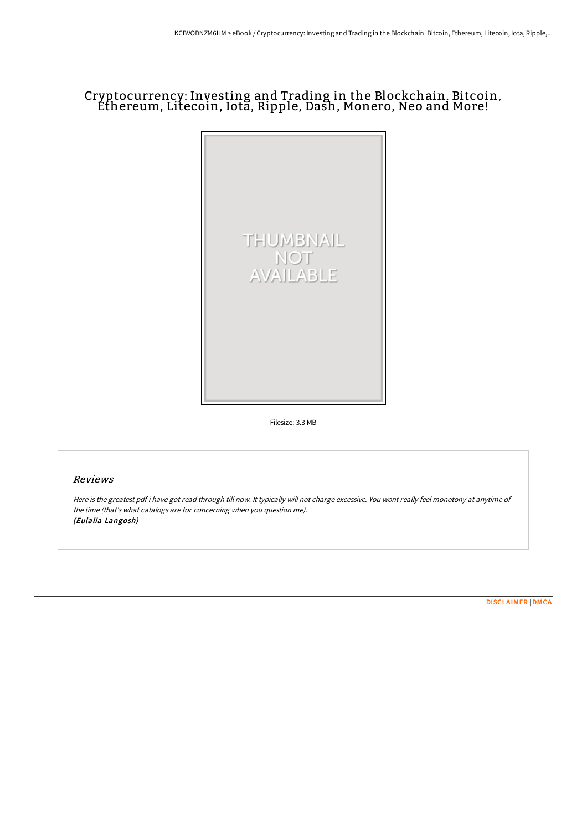# Cryptocurrency: Investing and Trading in the Blockchain. Bitcoin, Ethereum, Litecoin, Iota, Ripple, Dash, Monero, Neo and More!



Filesize: 3.3 MB

# Reviews

Here is the greatest pdf i have got read through till now. It typically will not charge excessive. You wont really feel monotony at anytime of the time (that's what catalogs are for concerning when you question me). (Eulalia Langosh)

[DISCLAIMER](http://digilib.live/disclaimer.html) | [DMCA](http://digilib.live/dmca.html)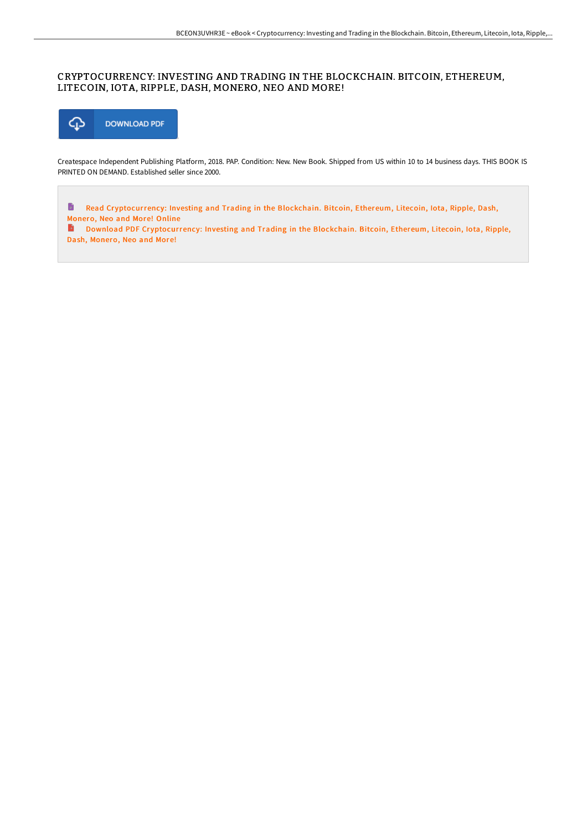# CRYPTOCURRENCY: INVESTING AND TRADING IN THE BLOCKCHAIN. BITCOIN, ETHEREUM, LITECOIN, IOTA, RIPPLE, DASH, MONERO, NEO AND MORE!



Createspace Independent Publishing Platform, 2018. PAP. Condition: New. New Book. Shipped from US within 10 to 14 business days. THIS BOOK IS PRINTED ON DEMAND. Established seller since 2000.

 $\blacksquare$ Read Cr[yptocurrency:](http://digilib.live/cryptocurrency-investing-and-trading-in-the-bloc.html) Investing and Trading in the Blockchain. Bitcoin, Ethereum, Litecoin, Iota, Ripple, Dash, Monero, Neo and More! Online

Download PDF Cr[yptocurrency:](http://digilib.live/cryptocurrency-investing-and-trading-in-the-bloc.html) Investing and Trading in the Blockchain. Bitcoin, Ethereum, Litecoin, Iota, Ripple, Dash, Monero, Neo and More!